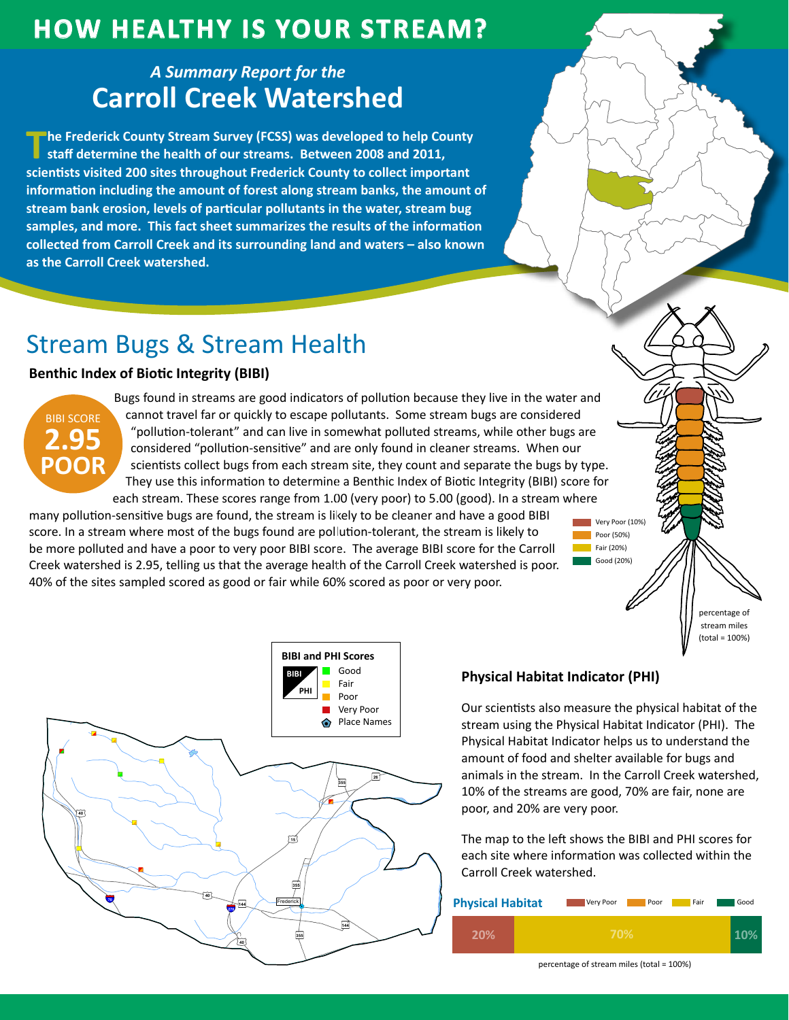## **How HealtHy is Your Stream?**

### *A Summary Report for the* **Carroll Creek Watershed**

**The Frederick County Stream Survey (FCSS) was developed to help County staff determine the health of our streams. Between 2008 and 2011, scientists visited 200 sites throughout Frederick County to collect important information including the amount of forest along stream banks, the amount of stream bank erosion, levels of particular pollutants in the water, stream bug samples, and more. This fact sheet summarizes the results of the information collected from Carroll Creek and its surrounding land and waters – also known as the Carroll Creek watershed.**

# Stream Bugs & Stream Health

### **Benthic Index of Biotic Integrity (BIBI)**



Bugs found in streams are good indicators of pollution because they live in the water and cannot travel far or quickly to escape pollutants. Some stream bugs are considered "pollution-tolerant" and can live in somewhat polluted streams, while other bugs are considered "pollution-sensitive" and are only found in cleaner streams. When our scientists collect bugs from each stream site, they count and separate the bugs by type. They use this information to determine a Benthic Index of Biotic Integrity (BIBI) score for each stream. These scores range from 1.00 (very poor) to 5.00 (good). In a stream where

many pollution-sensitive bugs are found, the stream is likely to be cleaner and have a good BIBI score. In a stream where most of the bugs found are pollution-tolerant, the stream is likely to be more polluted and have a poor to very poor BIBI score. The average BIBI score for the Carroll Creek watershed is 2.95, telling us that the average health of the Carroll Creek watershed is poor. 40% of the sites sampled scored as good or fair while 60% scored as poor or very poor.



#### **Physical Habitat Indicator (PHI)**

Our scientists also measure the physical habitat of the stream using the Physical Habitat Indicator (PHI). The Physical Habitat Indicator helps us to understand the amount of food and shelter available for bugs and animals in the stream. In the Carroll Creek watershed, 10% of the streams are good, 70% are fair, none are poor, and 20% are very poor.

Very Poor (10%) **Poor (50%)** Fair (20%) Good (20%)

> percentage of stream miles (total = 100%)

The map to the left shows the BIBI and PHI scores for each site where information was collected within the Carroll Creek watershed.

| <b>Physical Habitat</b> | Very Poor<br>Fair<br>Poor | Good |
|-------------------------|---------------------------|------|
| 20%                     | 70%                       |      |

percentage of stream miles (total = 100%)